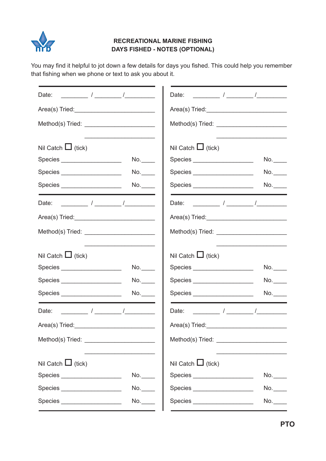

## **RECREATIONAL MARINE FISHING DAYS FISHED - NOTES (OPTIONAL)**

You may find it helpful to jot down a few details for days you fished. This could help you remember that fishing when we phone or text to ask you about it.

|                                                                                                                                                                                                                                                                                                                                                                                                                          | $\frac{1}{\sqrt{2\pi}}$ $\frac{1}{\sqrt{2\pi}}$ $\frac{1}{\sqrt{2\pi}}$<br>Date: |
|--------------------------------------------------------------------------------------------------------------------------------------------------------------------------------------------------------------------------------------------------------------------------------------------------------------------------------------------------------------------------------------------------------------------------|----------------------------------------------------------------------------------|
|                                                                                                                                                                                                                                                                                                                                                                                                                          |                                                                                  |
|                                                                                                                                                                                                                                                                                                                                                                                                                          |                                                                                  |
|                                                                                                                                                                                                                                                                                                                                                                                                                          |                                                                                  |
| Nil Catch $\Box$ (tick)                                                                                                                                                                                                                                                                                                                                                                                                  | Nil Catch $\Box$ (tick)                                                          |
| No.<br>Species _____________________                                                                                                                                                                                                                                                                                                                                                                                     | Species _____________________<br>No.                                             |
| No.<br>Species _____________________                                                                                                                                                                                                                                                                                                                                                                                     | Species _____________________<br>No.                                             |
| Species _____________________<br>No.                                                                                                                                                                                                                                                                                                                                                                                     | Species _____________________<br>No.                                             |
|                                                                                                                                                                                                                                                                                                                                                                                                                          |                                                                                  |
|                                                                                                                                                                                                                                                                                                                                                                                                                          | Area(s) Tried: New York Changes and Area (s) Tried:                              |
|                                                                                                                                                                                                                                                                                                                                                                                                                          |                                                                                  |
|                                                                                                                                                                                                                                                                                                                                                                                                                          |                                                                                  |
| Nil Catch $\Box$ (tick)                                                                                                                                                                                                                                                                                                                                                                                                  | Nil Catch $\Box$ (tick)                                                          |
| No.<br>Species ____________________                                                                                                                                                                                                                                                                                                                                                                                      | Species _____________________<br>No.                                             |
| No.<br>Species _____________________                                                                                                                                                                                                                                                                                                                                                                                     | Species<br>No.                                                                   |
| Species _____________________<br>No.                                                                                                                                                                                                                                                                                                                                                                                     | Species _____________________<br>No.                                             |
| Date: $\frac{1}{\sqrt{1-\frac{1}{2}}}\frac{1}{\sqrt{1-\frac{1}{2}}}\frac{1}{\sqrt{1-\frac{1}{2}}}\frac{1}{\sqrt{1-\frac{1}{2}}}\frac{1}{\sqrt{1-\frac{1}{2}}}\frac{1}{\sqrt{1-\frac{1}{2}}}\frac{1}{\sqrt{1-\frac{1}{2}}}\frac{1}{\sqrt{1-\frac{1}{2}}}\frac{1}{\sqrt{1-\frac{1}{2}}}\frac{1}{\sqrt{1-\frac{1}{2}}}\frac{1}{\sqrt{1-\frac{1}{2}}}\frac{1}{\sqrt{1-\frac{1}{2}}}\frac{1}{\sqrt{1-\frac{1}{2}}}\frac{1}{\$ |                                                                                  |
| Area(s) Tried: Management Contains a series of the series of the series of the series of the series of the series of the series of the series of the series of the series of the series of the series of the series of the ser                                                                                                                                                                                           | Area(s) Tried: Management Contains and Containing the Containing Section 2014    |
|                                                                                                                                                                                                                                                                                                                                                                                                                          |                                                                                  |
| <u> 1989 - Johann John Stein, markin film ar yn y brenin y brenin y brenin y brenin y brenin y brenin y brenin y</u>                                                                                                                                                                                                                                                                                                     |                                                                                  |
| Nil Catch $\Box$ (tick)                                                                                                                                                                                                                                                                                                                                                                                                  | Nil Catch $\Box$ (tick)                                                          |
| Species _____________________<br>No.                                                                                                                                                                                                                                                                                                                                                                                     | Species ______________________<br>No.                                            |
| No.<br>Species ______________________                                                                                                                                                                                                                                                                                                                                                                                    | Species _____________________<br>No.                                             |
| No.<br>Species _____________________                                                                                                                                                                                                                                                                                                                                                                                     | Species _____________________<br>No.                                             |